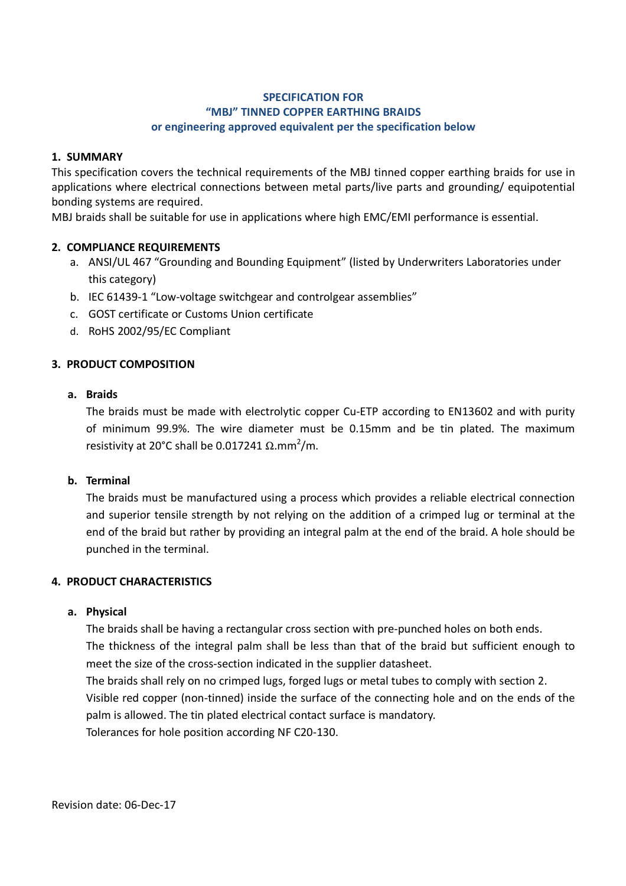## **SPECIFICATION FOR "MBJ" TINNED COPPER EARTHING BRAIDS or engineering approved equivalent per the specification below**

### **1. SUMMARY**

This specification covers the technical requirements of the MBJ tinned copper earthing braids for use in applications where electrical connections between metal parts/live parts and grounding/ equipotential bonding systems are required.

MBJ braids shall be suitable for use in applications where high EMC/EMI performance is essential.

## **2. COMPLIANCE REQUIREMENTS**

- a. ANSI/UL 467 "Grounding and Bounding Equipment" (listed by Underwriters Laboratories under this category)
- b. IEC 61439-1 "Low-voltage switchgear and controlgear assemblies"
- c. GOST certificate or Customs Union certificate
- d. RoHS 2002/95/EC Compliant

## **3. PRODUCT COMPOSITION**

#### **a. Braids**

The braids must be made with electrolytic copper Cu-ETP according to EN13602 and with purity of minimum 99.9%. The wire diameter must be 0.15mm and be tin plated. The maximum resistivity at 20°C shall be 0.017241  $\Omega$ .mm<sup>2</sup>/m.

### **b. Terminal**

The braids must be manufactured using a process which provides a reliable electrical connection and superior tensile strength by not relying on the addition of a crimped lug or terminal at the end of the braid but rather by providing an integral palm at the end of the braid. A hole should be punched in the terminal.

#### **4. PRODUCT CHARACTERISTICS**

#### **a. Physical**

The braids shall be having a rectangular cross section with pre-punched holes on both ends. The thickness of the integral palm shall be less than that of the braid but sufficient enough to meet the size of the cross-section indicated in the supplier datasheet. The braids shall rely on no crimped lugs, forged lugs or metal tubes to comply with section 2. Visible red copper (non-tinned) inside the surface of the connecting hole and on the ends of the palm is allowed. The tin plated electrical contact surface is mandatory. Tolerances for hole position according NF C20-130.